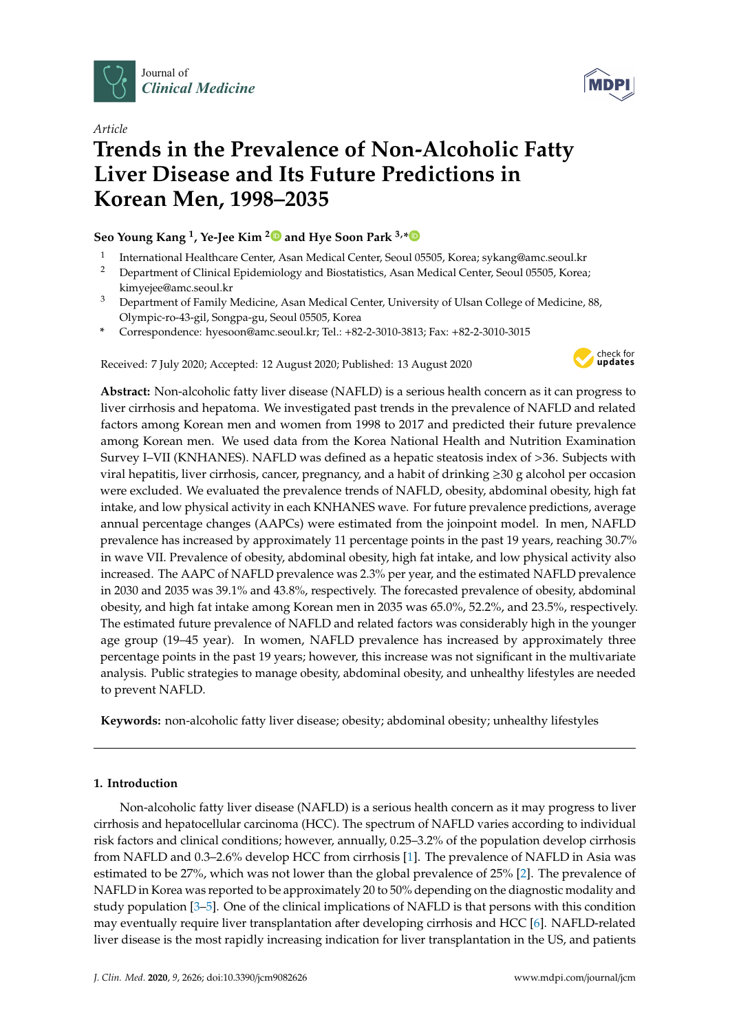

*Article*



# **Trends in the Prevalence of Non-Alcoholic Fatty Liver Disease and Its Future Predictions in Korean Men, 1998–2035**

# **Seo Young Kang <sup>1</sup> , Ye-Jee Kim [2](https://orcid.org/0000-0002-3307-2970) and Hye Soon Park 3,[\\*](https://orcid.org/0000-0002-9514-2401)**

- 1 International Healthcare Center, Asan Medical Center, Seoul 05505, Korea; sykang@amc.seoul.kr
- <sup>2</sup> Department of Clinical Epidemiology and Biostatistics, Asan Medical Center, Seoul 05505, Korea; kimyejee@amc.seoul.kr
- <sup>3</sup> Department of Family Medicine, Asan Medical Center, University of Ulsan College of Medicine, 88, Olympic-ro-43-gil, Songpa-gu, Seoul 05505, Korea
- **\*** Correspondence: hyesoon@amc.seoul.kr; Tel.: +82-2-3010-3813; Fax: +82-2-3010-3015

Received: 7 July 2020; Accepted: 12 August 2020; Published: 13 August 2020



**Abstract:** Non-alcoholic fatty liver disease (NAFLD) is a serious health concern as it can progress to liver cirrhosis and hepatoma. We investigated past trends in the prevalence of NAFLD and related factors among Korean men and women from 1998 to 2017 and predicted their future prevalence among Korean men. We used data from the Korea National Health and Nutrition Examination Survey I–VII (KNHANES). NAFLD was defined as a hepatic steatosis index of >36. Subjects with viral hepatitis, liver cirrhosis, cancer, pregnancy, and a habit of drinking  $\geq 30$  g alcohol per occasion were excluded. We evaluated the prevalence trends of NAFLD, obesity, abdominal obesity, high fat intake, and low physical activity in each KNHANES wave. For future prevalence predictions, average annual percentage changes (AAPCs) were estimated from the joinpoint model. In men, NAFLD prevalence has increased by approximately 11 percentage points in the past 19 years, reaching 30.7% in wave VII. Prevalence of obesity, abdominal obesity, high fat intake, and low physical activity also increased. The AAPC of NAFLD prevalence was 2.3% per year, and the estimated NAFLD prevalence in 2030 and 2035 was 39.1% and 43.8%, respectively. The forecasted prevalence of obesity, abdominal obesity, and high fat intake among Korean men in 2035 was 65.0%, 52.2%, and 23.5%, respectively. The estimated future prevalence of NAFLD and related factors was considerably high in the younger age group (19–45 year). In women, NAFLD prevalence has increased by approximately three percentage points in the past 19 years; however, this increase was not significant in the multivariate analysis. Public strategies to manage obesity, abdominal obesity, and unhealthy lifestyles are needed to prevent NAFLD.

**Keywords:** non-alcoholic fatty liver disease; obesity; abdominal obesity; unhealthy lifestyles

# **1. Introduction**

Non-alcoholic fatty liver disease (NAFLD) is a serious health concern as it may progress to liver cirrhosis and hepatocellular carcinoma (HCC). The spectrum of NAFLD varies according to individual risk factors and clinical conditions; however, annually, 0.25–3.2% of the population develop cirrhosis from NAFLD and 0.3–2.6% develop HCC from cirrhosis [\[1\]](#page-12-0). The prevalence of NAFLD in Asia was estimated to be 27%, which was not lower than the global prevalence of 25% [\[2\]](#page-12-1). The prevalence of NAFLD in Korea was reported to be approximately 20 to 50% depending on the diagnostic modality and study population [\[3](#page-12-2)[–5\]](#page-12-3). One of the clinical implications of NAFLD is that persons with this condition may eventually require liver transplantation after developing cirrhosis and HCC [\[6\]](#page-12-4). NAFLD-related liver disease is the most rapidly increasing indication for liver transplantation in the US, and patients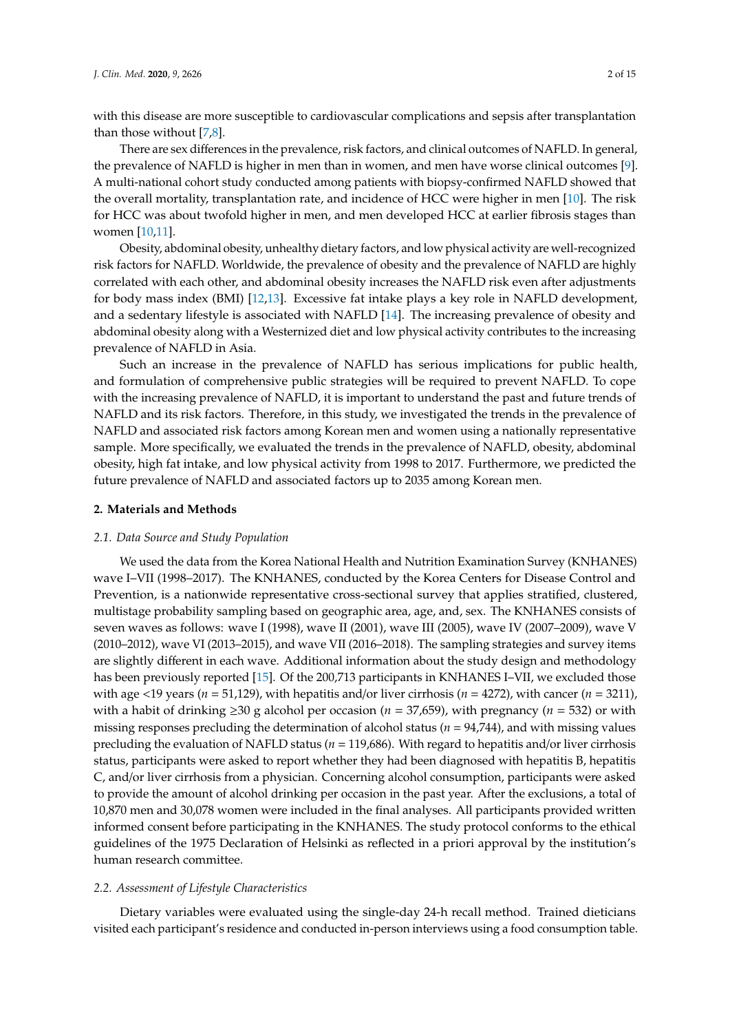with this disease are more susceptible to cardiovascular complications and sepsis after transplantation than those without [\[7,](#page-12-5)[8\]](#page-12-6).

There are sex differences in the prevalence, risk factors, and clinical outcomes of NAFLD. In general, the prevalence of NAFLD is higher in men than in women, and men have worse clinical outcomes [\[9\]](#page-12-7). A multi-national cohort study conducted among patients with biopsy-confirmed NAFLD showed that the overall mortality, transplantation rate, and incidence of HCC were higher in men [\[10\]](#page-12-8). The risk for HCC was about twofold higher in men, and men developed HCC at earlier fibrosis stages than women [\[10](#page-12-8)[,11\]](#page-12-9).

Obesity, abdominal obesity, unhealthy dietary factors, and low physical activity are well-recognized risk factors for NAFLD. Worldwide, the prevalence of obesity and the prevalence of NAFLD are highly correlated with each other, and abdominal obesity increases the NAFLD risk even after adjustments for body mass index (BMI) [\[12,](#page-12-10)[13\]](#page-12-11). Excessive fat intake plays a key role in NAFLD development, and a sedentary lifestyle is associated with NAFLD [\[14\]](#page-12-12). The increasing prevalence of obesity and abdominal obesity along with a Westernized diet and low physical activity contributes to the increasing prevalence of NAFLD in Asia.

Such an increase in the prevalence of NAFLD has serious implications for public health, and formulation of comprehensive public strategies will be required to prevent NAFLD. To cope with the increasing prevalence of NAFLD, it is important to understand the past and future trends of NAFLD and its risk factors. Therefore, in this study, we investigated the trends in the prevalence of NAFLD and associated risk factors among Korean men and women using a nationally representative sample. More specifically, we evaluated the trends in the prevalence of NAFLD, obesity, abdominal obesity, high fat intake, and low physical activity from 1998 to 2017. Furthermore, we predicted the future prevalence of NAFLD and associated factors up to 2035 among Korean men.

#### **2. Materials and Methods**

#### *2.1. Data Source and Study Population*

We used the data from the Korea National Health and Nutrition Examination Survey (KNHANES) wave I–VII (1998–2017). The KNHANES, conducted by the Korea Centers for Disease Control and Prevention, is a nationwide representative cross-sectional survey that applies stratified, clustered, multistage probability sampling based on geographic area, age, and, sex. The KNHANES consists of seven waves as follows: wave I (1998), wave II (2001), wave III (2005), wave IV (2007–2009), wave V (2010–2012), wave VI (2013–2015), and wave VII (2016–2018). The sampling strategies and survey items are slightly different in each wave. Additional information about the study design and methodology has been previously reported [\[15\]](#page-12-13). Of the 200,713 participants in KNHANES I–VII, we excluded those with age <19 years ( $n = 51,129$ ), with hepatitis and/or liver cirrhosis ( $n = 4272$ ), with cancer ( $n = 3211$ ), with a habit of drinking ≥30 g alcohol per occasion (*n* = 37,659), with pregnancy (*n* = 532) or with missing responses precluding the determination of alcohol status (*n* = 94,744), and with missing values precluding the evaluation of NAFLD status (*n* = 119,686). With regard to hepatitis and/or liver cirrhosis status, participants were asked to report whether they had been diagnosed with hepatitis B, hepatitis C, and/or liver cirrhosis from a physician. Concerning alcohol consumption, participants were asked to provide the amount of alcohol drinking per occasion in the past year. After the exclusions, a total of 10,870 men and 30,078 women were included in the final analyses. All participants provided written informed consent before participating in the KNHANES. The study protocol conforms to the ethical guidelines of the 1975 Declaration of Helsinki as reflected in a priori approval by the institution's human research committee.

#### *2.2. Assessment of Lifestyle Characteristics*

Dietary variables were evaluated using the single-day 24-h recall method. Trained dieticians visited each participant's residence and conducted in-person interviews using a food consumption table.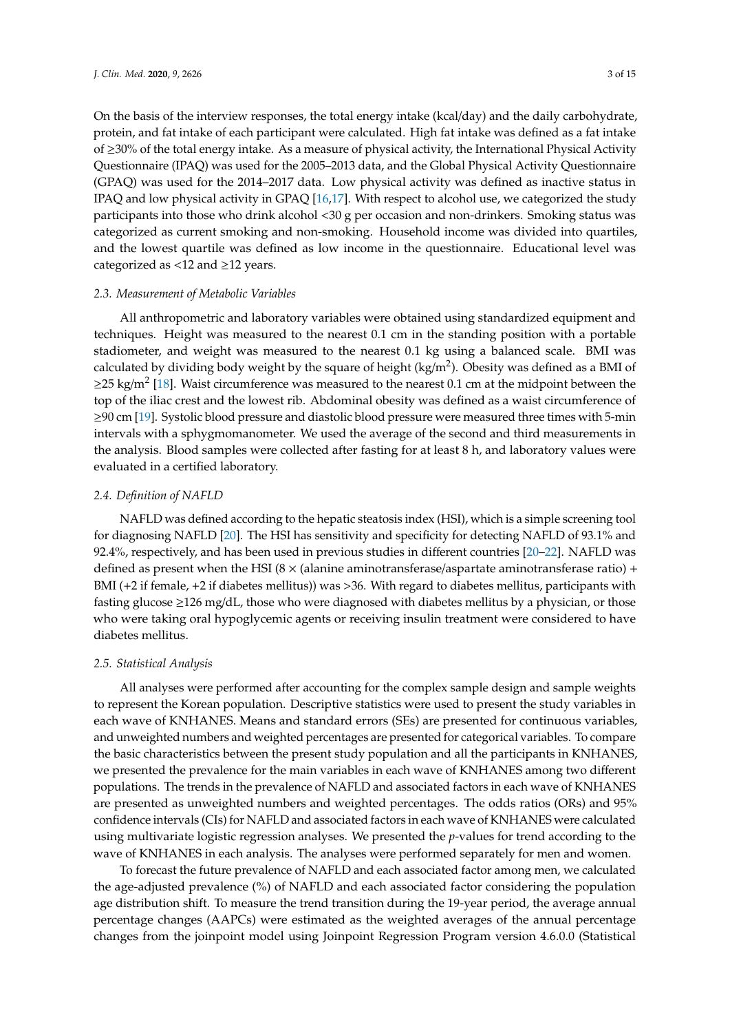On the basis of the interview responses, the total energy intake (kcal/day) and the daily carbohydrate, protein, and fat intake of each participant were calculated. High fat intake was defined as a fat intake of ≥30% of the total energy intake. As a measure of physical activity, the International Physical Activity Questionnaire (IPAQ) was used for the 2005–2013 data, and the Global Physical Activity Questionnaire (GPAQ) was used for the 2014–2017 data. Low physical activity was defined as inactive status in IPAQ and low physical activity in GPAQ [\[16,](#page-13-0)[17\]](#page-13-1). With respect to alcohol use, we categorized the study participants into those who drink alcohol <30 g per occasion and non-drinkers. Smoking status was categorized as current smoking and non-smoking. Household income was divided into quartiles, and the lowest quartile was defined as low income in the questionnaire. Educational level was categorized as  $\langle 12 \text{ and } 212 \text{ years.}$ 

#### *2.3. Measurement of Metabolic Variables*

All anthropometric and laboratory variables were obtained using standardized equipment and techniques. Height was measured to the nearest 0.1 cm in the standing position with a portable stadiometer, and weight was measured to the nearest 0.1 kg using a balanced scale. BMI was calculated by dividing body weight by the square of height (kg/m<sup>2</sup>). Obesity was defined as a BMI of ≥25 kg/m<sup>2</sup> [\[18\]](#page-13-2). Waist circumference was measured to the nearest 0.1 cm at the midpoint between the top of the iliac crest and the lowest rib. Abdominal obesity was defined as a waist circumference of ≥90 cm [\[19\]](#page-13-3). Systolic blood pressure and diastolic blood pressure were measured three times with 5-min intervals with a sphygmomanometer. We used the average of the second and third measurements in the analysis. Blood samples were collected after fasting for at least 8 h, and laboratory values were evaluated in a certified laboratory.

#### *2.4. Definition of NAFLD*

NAFLD was defined according to the hepatic steatosis index (HSI), which is a simple screening tool for diagnosing NAFLD [\[20\]](#page-13-4). The HSI has sensitivity and specificity for detecting NAFLD of 93.1% and 92.4%, respectively, and has been used in previous studies in different countries [\[20–](#page-13-4)[22\]](#page-13-5). NAFLD was defined as present when the HSI ( $8 \times$  (alanine aminotransferase/aspartate aminotransferase ratio) + BMI (+2 if female, +2 if diabetes mellitus)) was >36. With regard to diabetes mellitus, participants with fasting glucose  $\geq 126$  mg/dL, those who were diagnosed with diabetes mellitus by a physician, or those who were taking oral hypoglycemic agents or receiving insulin treatment were considered to have diabetes mellitus.

#### *2.5. Statistical Analysis*

All analyses were performed after accounting for the complex sample design and sample weights to represent the Korean population. Descriptive statistics were used to present the study variables in each wave of KNHANES. Means and standard errors (SEs) are presented for continuous variables, and unweighted numbers and weighted percentages are presented for categorical variables. To compare the basic characteristics between the present study population and all the participants in KNHANES, we presented the prevalence for the main variables in each wave of KNHANES among two different populations. The trends in the prevalence of NAFLD and associated factors in each wave of KNHANES are presented as unweighted numbers and weighted percentages. The odds ratios (ORs) and 95% confidence intervals (CIs) for NAFLD and associated factors in each wave of KNHANES were calculated using multivariate logistic regression analyses. We presented the *p*-values for trend according to the wave of KNHANES in each analysis. The analyses were performed separately for men and women.

To forecast the future prevalence of NAFLD and each associated factor among men, we calculated the age-adjusted prevalence (%) of NAFLD and each associated factor considering the population age distribution shift. To measure the trend transition during the 19-year period, the average annual percentage changes (AAPCs) were estimated as the weighted averages of the annual percentage changes from the joinpoint model using Joinpoint Regression Program version 4.6.0.0 (Statistical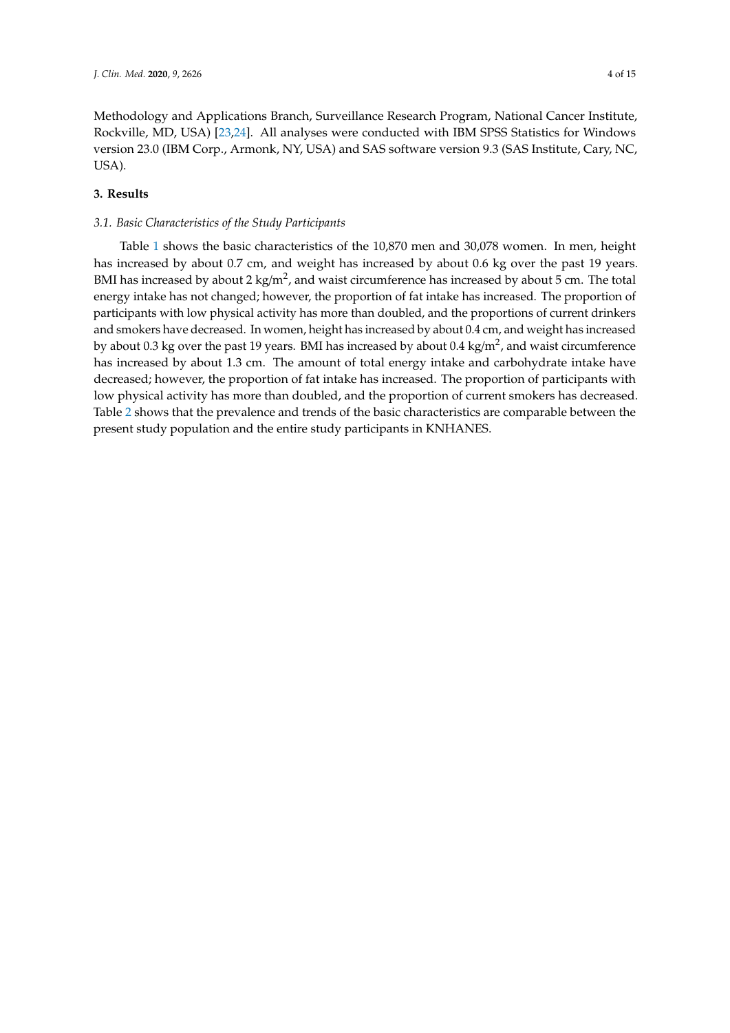Methodology and Applications Branch, Surveillance Research Program, National Cancer Institute, Rockville, MD, USA) [\[23](#page-13-6)[,24\]](#page-13-7). All analyses were conducted with IBM SPSS Statistics for Windows version 23.0 (IBM Corp., Armonk, NY, USA) and SAS software version 9.3 (SAS Institute, Cary, NC, USA).

## **3. Results**

#### *3.1. Basic Characteristics of the Study Participants*

Table [1](#page-4-0) shows the basic characteristics of the 10,870 men and 30,078 women. In men, height has increased by about 0.7 cm, and weight has increased by about 0.6 kg over the past 19 years. BMI has increased by about 2 kg/m<sup>2</sup>, and waist circumference has increased by about 5 cm. The total energy intake has not changed; however, the proportion of fat intake has increased. The proportion of participants with low physical activity has more than doubled, and the proportions of current drinkers and smokers have decreased. In women, height has increased by about 0.4 cm, and weight has increased by about  $0.3$  kg over the past 19 years. BMI has increased by about  $0.4$  kg/m<sup>2</sup>, and waist circumference has increased by about 1.3 cm. The amount of total energy intake and carbohydrate intake have decreased; however, the proportion of fat intake has increased. The proportion of participants with low physical activity has more than doubled, and the proportion of current smokers has decreased. Table [2](#page-5-0) shows that the prevalence and trends of the basic characteristics are comparable between the present study population and the entire study participants in KNHANES.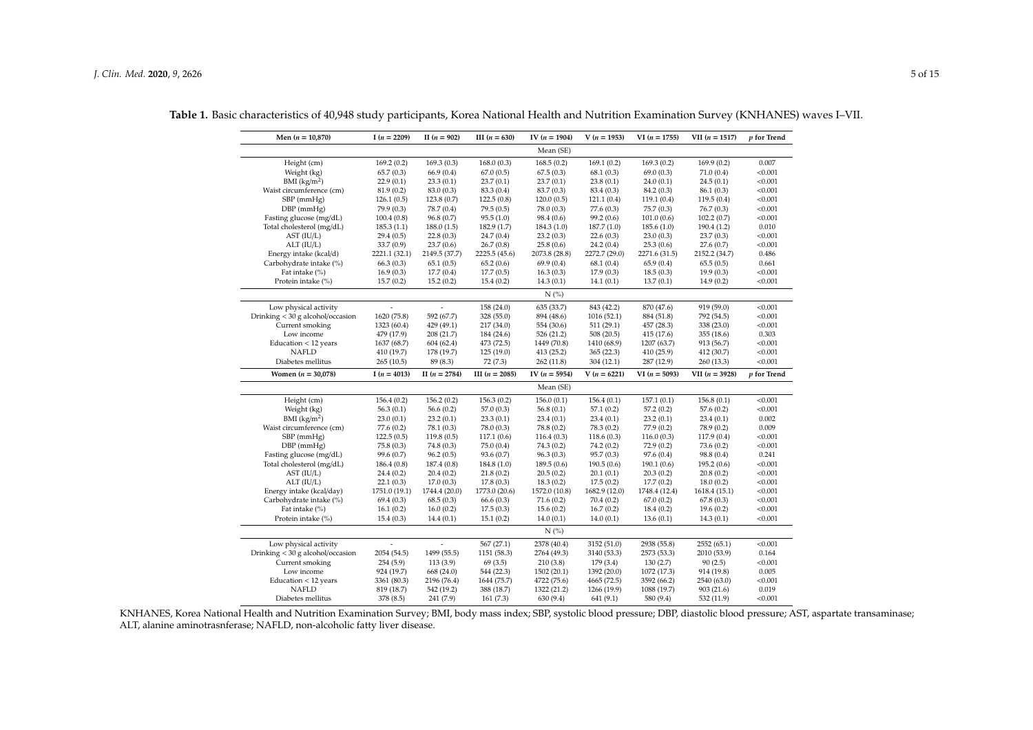| Men $(n = 10,870)$                                  | I $(n = 2209)$          | II $(n = 902)$          | III $(n = 630)$        | IV $(n = 1904)$          | $V(n = 1953)$            | $VI(n = 1755)$           | $VII (n = 1517)$         | p for Trend      |  |
|-----------------------------------------------------|-------------------------|-------------------------|------------------------|--------------------------|--------------------------|--------------------------|--------------------------|------------------|--|
|                                                     | Mean (SE)               |                         |                        |                          |                          |                          |                          |                  |  |
| Height (cm)                                         | 169.2(0.2)              | 169.3(0.3)              | 168.0(0.3)             | 168.5(0.2)               | 169.1(0.2)               | 169.3(0.2)               | 169.9(0.2)               | 0.007            |  |
| Weight (kg)                                         | 65.7(0.3)               | 66.9 (0.4)              | 67.0(0.5)              | 67.5(0.3)                | 68.1(0.3)                | 69.0(0.3)                | 71.0(0.4)                | < 0.001          |  |
| BMI $(kg/m2)$                                       | 22.9(0.1)               | 23.3(0.1)               | 23.7(0.1)              | 23.7(0.1)                | 23.8(0.1)                | 24.0(0.1)                | 24.5(0.1)                | < 0.001          |  |
| Waist circumference (cm)                            | 81.9(0.2)               | 83.0 (0.3)              | 83.3 (0.4)             | 83.7 (0.3)               | 83.4 (0.3)               | 84.2 (0.3)               | 86.1(0.3)                | < 0.001          |  |
| SBP (mmHg)                                          | 126.1(0.5)              | 123.8(0.7)              | 122.5(0.8)             | 120.0(0.5)               | 121.1(0.4)               | 119.1(0.4)               | 119.5(0.4)               | < 0.001          |  |
| $DBP$ (mmHg)                                        | 79.9 (0.3)              | 78.7 (0.4)              | 79.5(0.5)              | 78.0 (0.3)               | 77.6 (0.3)               | 75.7(0.3)                | 76.7(0.3)                | < 0.001          |  |
| Fasting glucose (mg/dL)                             | 100.4(0.8)              | 96.8 (0.7)              | 95.5(1.0)              | 98.4 (0.6)               | 99.2 (0.6)               | 101.0(0.6)               | 102.2(0.7)               | < 0.001          |  |
| Total cholesterol (mg/dL)                           | 185.3(1.1)              | 188.0(1.5)              | 182.9 (1.7)            | 184.3 (1.0)              | 187.7 (1.0)              | 185.6(1.0)               | 190.4(1.2)               | 0.010            |  |
| AST (IU/L)                                          | 29.4(0.5)               | 22.8(0.3)               | 24.7(0.4)              | 23.2(0.3)                | 22.6(0.3)                | 23.0(0.3)                | 23.7(0.3)                | < 0.001          |  |
| ALT (IU/L)                                          | 33.7(0.9)               | 23.7(0.6)               | 26.7(0.8)              | 25.8(0.6)                | 24.2(0.4)                | 25.3(0.6)                | 27.6(0.7)                | < 0.001          |  |
| Energy intake (kcal/d)                              | 2221.1 (32.1)           | 2149.5 (37.7)           | 2225.5 (45.6)          | 2073.8 (28.8)            | 2272.7 (29.0)            | 2271.6 (31.5)            | 2152.2 (34.7)            | 0.486            |  |
| Carbohydrate intake (%)                             | 66.3(0.3)               | 65.1(0.5)               | 65.2(0.6)              | 69.9(0.4)                | 68.1(0.4)                | 65.9(0.4)                | 65.5(0.5)                | 0.661            |  |
| Fat intake (%)                                      | 16.9(0.3)               | 17.7(0.4)               | 17.7(0.5)              | 16.3(0.3)                | 17.9(0.3)                | 18.5(0.3)                | 19.9(0.3)                | < 0.001          |  |
| Protein intake (%)                                  | 15.7(0.2)               | 15.2(0.2)               | 15.4(0.2)              | 14.3(0.1)                | 14.1(0.1)                | 13.7(0.1)                | 14.9(0.2)                | < 0.001          |  |
|                                                     |                         |                         |                        | N(%                      |                          |                          |                          |                  |  |
| Low physical activity                               |                         |                         | 158 (24.0)             | 635 (33.7)               | 843 (42.2)               | 870 (47.6)               | 919 (59.0)               | < 0.001          |  |
| Drinking $<$ 30 g alcohol/occasion                  | 1620 (75.8)             | 592 (67.7)              | 328 (55.0)             | 894 (48.6)               | 1016 (52.1)              | 884 (51.8)               | 792 (54.5)               | < 0.001          |  |
| Current smoking                                     | 1323 (60.4)             | 429 (49.1)              | 217 (34.0)             | 554 (30.6)               | 511(29.1)                | 457 (28.3)               | 338 (23.0)               | < 0.001          |  |
| Low income                                          | 479 (17.9)              | 208 (21.7)              | 184 (24.6)             | 526 (21.2)               | 508 (20.5)               | 415 (17.6)               | 355 (18.6)               | 0.303            |  |
| Education < 12 years                                | 1637 (68.7)             | 604 (62.4)              | 473 (72.5)             | 1449 (70.8)              | 1410 (68.9)              | 1207 (63.7)              | 913 (56.7)               | < 0.001          |  |
| <b>NAFLD</b>                                        | 410 (19.7)              | 178 (19.7)              | 125 (19.0)             | 413 (25.2)               | 365(22.3)                | 410 (25.9)               | 412 (30.7)               | < 0.001          |  |
| Diabetes mellitus                                   | 265 (10.5)              | 89 (8.3)                | 72 (7.3)               | 262 (11.8)               | 304(12.1)                | 287 (12.9)               | 260 (13.3)               | < 0.001          |  |
|                                                     |                         |                         |                        |                          |                          |                          |                          |                  |  |
| Women $(n = 30,078)$                                | I $(n = 4013)$          | II $(n = 2784)$         | III $(n = 2085)$       | IV $(n = 5954)$          | $V(n = 6221)$            | $VI(n = 5093)$           | $VII (n = 3928)$         | $p$ for Trend    |  |
|                                                     |                         |                         |                        | Mean (SE)                |                          |                          |                          |                  |  |
| Height (cm)                                         | 156.4(0.2)              | 156.2(0.2)              | 156.3(0.2)             | 156.0(0.1)               | 156.4(0.1)               | 157.1(0.1)               | 156.8(0.1)               | < 0.001          |  |
| Weight (kg)                                         | 56.3(0.1)               | 56.6(0.2)               | 57.0(0.3)              | 56.8(0.1)                | 57.1(0.2)                | 57.2(0.2)                | 57.6(0.2)                | < 0.001          |  |
| BMI $(kg/m2)$                                       | 23.0(0.1)               | 23.2(0.1)               | 23.3(0.1)              | 23.4(0.1)                | 23.4(0.1)                | 23.2(0.1)                | 23.4(0.1)                | 0.002            |  |
| Waist circumference (cm)                            | 77.6 (0.2)              | 78.1 (0.3)              | 78.0 (0.3)             | 78.8 (0.2)               | 78.3 (0.2)               | 77.9 (0.2)               | 78.9 (0.2)               | 0.009            |  |
| SBP (mmHg)                                          | 122.5(0.5)              | 119.8(0.5)              | 117.1(0.6)             | 116.4(0.3)               | 118.6(0.3)               | 116.0(0.3)               | 117.9(0.4)               | < 0.001          |  |
| DBP (mmHg)                                          | 75.8(0.3)               | 74.8 (0.3)              | 75.0(0.4)              | 74.3(0.2)                | 74.2(0.2)                | 72.9(0.2)                | 73.6(0.2)                | < 0.001          |  |
| Fasting glucose (mg/dL)                             | 99.6 (0.7)              | 96.2(0.5)               | 93.6 (0.7)             | 96.3(0.3)                | 95.7 (0.3)               | 97.6 (0.4)               | 98.8 (0.4)               | 0.241            |  |
| Total cholesterol (mg/dL)                           | 186.4(0.8)              | 187.4 (0.8)             | 184.8 (1.0)            | 189.5(0.6)               | 190.5(0.6)               | 190.1(0.6)               | 195.2(0.6)               | < 0.001          |  |
| AST (IU/L)                                          | 24.4(0.2)               | 20.4(0.2)               | 21.8(0.2)              | 20.5(0.2)                | 20.1(0.1)                | 20.3(0.2)                | 20.8(0.2)                | < 0.001          |  |
| ALT (IU/L)                                          | 22.1(0.3)               | 17.0(0.3)               | 17.8(0.3)              | 18.3(0.2)                | 17.5(0.2)                | 17.7(0.2)                | 18.0(0.2)                | < 0.001          |  |
| Energy intake (kcal/day)                            | 1751.0 (19.1)           | 1744.4 (20.0)           | 1773.0 (20.6)          | 1572.0 (10.8)            | 1682.9 (12.0)            | 1748.4 (12.4)            | 1618.4 (15.1)            | < 0.001          |  |
| Carbohydrate intake (%)                             | 69.4(0.3)               | 68.5(0.3)               | 66.6(0.3)              | 71.6(0.2)                | 70.4(0.2)                | 67.0(0.2)                | 67.8(0.3)                | < 0.001          |  |
| Fat intake (%)                                      | 16.1(0.2)               | 16.0(0.2)               | 17.5(0.3)              | 15.6(0.2)                | 16.7(0.2)                | 18.4(0.2)                | 19.6(0.2)                | < 0.001          |  |
| Protein intake (%)                                  | 15.4(0.3)               | 14.4(0.1)               | 15.1(0.2)              | 14.0(0.1)                | 14.0(0.1)                | 13.6(0.1)                | 14.3(0.1)                | < 0.001          |  |
|                                                     |                         |                         |                        | N(%                      |                          |                          |                          |                  |  |
| Low physical activity                               |                         |                         | 567 (27.1)             | 2378 (40.4)              | 3152 (51.0)              | 2938 (55.8)              | 2552 (65.1)              | < 0.001          |  |
|                                                     | 2054 (54.5)             | 1499 (55.5)             | 1151 (58.3)            | 2764 (49.3)              | 3140 (53.3)              | 2573 (53.3)              | 2010 (53.9)              | 0.164            |  |
| Drinking < 30 g alcohol/occasion<br>Current smoking | 254(5.9)                | 113(3.9)                | 69(3.5)                | 210(3.8)                 | 179(3.4)                 | 130(2.7)                 | 90(2.5)                  | < 0.001          |  |
| Low income                                          | 924 (19.7)              | 668 (24.0)              | 544 (22.3)             | 1502 (20.1)              | 1392 (20.0)              | 1072 (17.3)              | 914 (19.8)               | 0.005            |  |
| Education < 12 years                                | 3361 (80.3)             | 2196 (76.4)             | 1644 (75.7)            | 4722 (75.6)              | 4665 (72.5)              | 3592 (66.2)              | 2540 (63.0)              | < 0.001          |  |
| <b>NAFLD</b><br>Diabetes mellitus                   | 819 (18.7)<br>378 (8.5) | 542 (19.2)<br>241 (7.9) | 388 (18.7)<br>161(7.3) | 1322 (21.2)<br>630 (9.4) | 1266 (19.9)<br>641 (9.1) | 1088 (19.7)<br>580 (9.4) | 903 (21.6)<br>532 (11.9) | 0.019<br>< 0.001 |  |

**Table 1.** Basic characteristics of 40,948 study participants, Korea National Health and Nutrition Examination Survey (KNHANES) waves I–VII.

<span id="page-4-0"></span>KNHANES, Korea National Health and Nutrition Examination Survey; BMI, body mass index; SBP, systolic blood pressure; DBP, diastolic blood pressure; AST, aspartate transaminase; ALT, alanine aminotrasnferase; NAFLD, non-alcoholic fatty liver disease.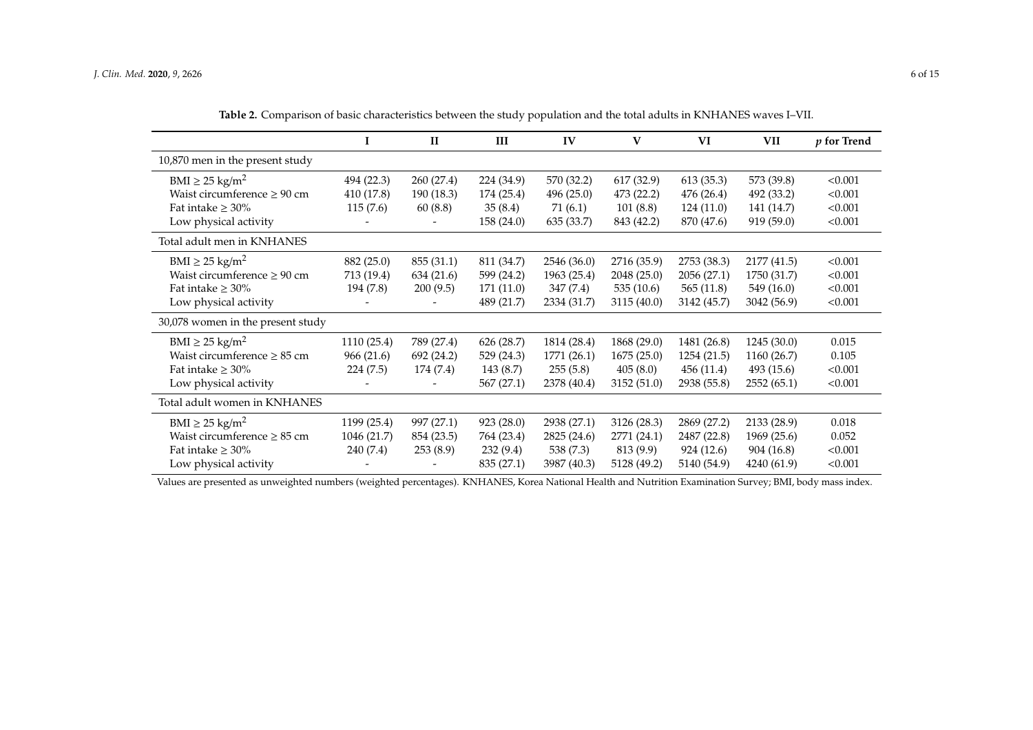|                                   | 1           | $\mathbf{I}$ | III        | IV          | V           | VI          | VII         | $p$ for Trend |
|-----------------------------------|-------------|--------------|------------|-------------|-------------|-------------|-------------|---------------|
| 10,870 men in the present study   |             |              |            |             |             |             |             |               |
| $BMI \geq 25$ kg/m <sup>2</sup>   | 494 (22.3)  | 260(27.4)    | 224 (34.9) | 570 (32.2)  | 617 (32.9)  | 613(35.3)   | 573 (39.8)  | < 0.001       |
| Waist circumference $\geq 90$ cm  | 410 (17.8)  | 190 (18.3)   | 174 (25.4) | 496 (25.0)  | 473 (22.2)  | 476 (26.4)  | 492 (33.2)  | < 0.001       |
| Fat intake $\geq 30\%$            | 115(7.6)    | 60(8.8)      | 35(8.4)    | 71 (6.1)    | 101(8.8)    | 124(11.0)   | 141 (14.7)  | < 0.001       |
| Low physical activity             |             |              | 158 (24.0) | 635 (33.7)  | 843 (42.2)  | 870 (47.6)  | 919 (59.0)  | < 0.001       |
| Total adult men in KNHANES        |             |              |            |             |             |             |             |               |
| $BMI \geq 25$ kg/m <sup>2</sup>   | 882 (25.0)  | 855 (31.1)   | 811 (34.7) | 2546 (36.0) | 2716 (35.9) | 2753 (38.3) | 2177 (41.5) | < 0.001       |
| Waist circumference $\geq 90$ cm  | 713 (19.4)  | 634 (21.6)   | 599 (24.2) | 1963 (25.4) | 2048 (25.0) | 2056 (27.1) | 1750 (31.7) | < 0.001       |
| Fat intake $\geq 30\%$            | 194 (7.8)   | 200(9.5)     | 171 (11.0) | 347(7.4)    | 535(10.6)   | 565(11.8)   | 549 (16.0)  | < 0.001       |
| Low physical activity             |             |              | 489 (21.7) | 2334 (31.7) | 3115 (40.0) | 3142 (45.7) | 3042 (56.9) | < 0.001       |
| 30,078 women in the present study |             |              |            |             |             |             |             |               |
| $BMI \geq 25$ kg/m <sup>2</sup>   | 1110 (25.4) | 789 (27.4)   | 626 (28.7) | 1814 (28.4) | 1868 (29.0) | 1481 (26.8) | 1245(30.0)  | 0.015         |
| Waist circumference $\geq 85$ cm  | 966 (21.6)  | 692 (24.2)   | 529 (24.3) | 1771 (26.1) | 1675(25.0)  | 1254 (21.5) | 1160 (26.7) | 0.105         |
| Fat intake $\geq 30\%$            | 224 (7.5)   | 174 (7.4)    | 143 (8.7)  | 255(5.8)    | 405(8.0)    | 456(11.4)   | 493 (15.6)  | < 0.001       |
| Low physical activity             |             |              | 567 (27.1) | 2378 (40.4) | 3152(51.0)  | 2938 (55.8) | 2552(65.1)  | < 0.001       |
| Total adult women in KNHANES      |             |              |            |             |             |             |             |               |
| $BMI \geq 25$ kg/m <sup>2</sup>   | 1199 (25.4) | 997 (27.1)   | 923(28.0)  | 2938 (27.1) | 3126 (28.3) | 2869 (27.2) | 2133 (28.9) | 0.018         |
| Waist circumference $\geq 85$ cm  | 1046 (21.7) | 854 (23.5)   | 764 (23.4) | 2825 (24.6) | 2771 (24.1) | 2487 (22.8) | 1969 (25.6) | 0.052         |
| Fat intake $\geq 30\%$            | 240 (7.4)   | 253(8.9)     | 232(9.4)   | 538 (7.3)   | 813 (9.9)   | 924 (12.6)  | 904 (16.8)  | < 0.001       |
| Low physical activity             |             |              | 835 (27.1) | 3987 (40.3) | 5128 (49.2) | 5140 (54.9) | 4240 (61.9) | < 0.001       |

**Table 2.** Comparison of basic characteristics between the study population and the total adults in KNHANES waves I–VII.

<span id="page-5-0"></span>Values are presented as unweighted numbers (weighted percentages). KNHANES, Korea National Health and Nutrition Examination Survey; BMI, body mass index.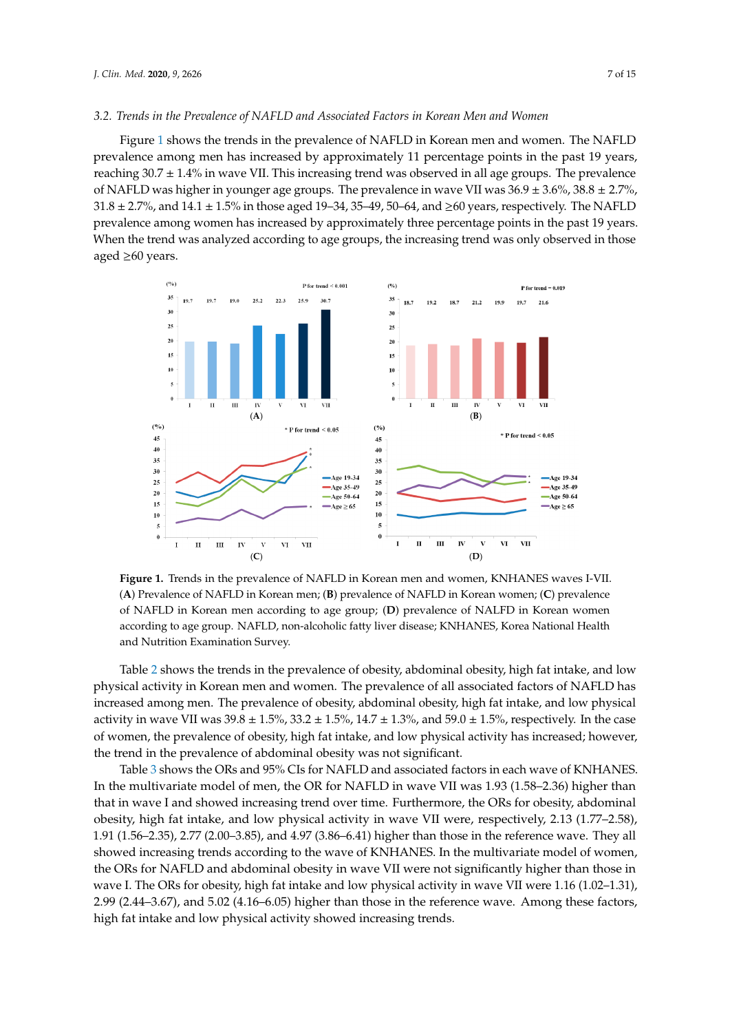#### *3.2. Trends in the Prevalence of NAFLD and Associated Factors in Korean Men and Women*

Figure [1](#page-6-0) shows the trends in the prevalence of NAFLD in Korean men and women. The NAFLD prevalence among men has increased by approximately 11 percentage points in the past 19 years, reaching 30.7 ± 1.4% in wave VII. This increasing trend was observed in all age groups. The prevalence of NAFLD was higher in younger age groups. The prevalence in wave VII was  $36.9 \pm 3.6\%$ ,  $38.8 \pm 2.7\%$ ,  $31.8 \pm 2.7$ %, and  $14.1 \pm 1.5$ % in those aged 19–34, 35–49, 50–64, and ≥60 years, respectively. The NAFLD 3.6%, 3.2%, 3.8%, 38.8 ± 2.7%, 31.8 ± 2.7%, 31.8 ± 2.7%, 31.8 ± 2.7%, 31.9%, 31.9%, 31.9%, 31.9%, 31.9%, 31.9%<br>3.6%, 31.9%, 31.9%, 31.8 ± 2.7%, 31.8 ± 2.7%, 31.9%, 31.9%, 31.9%, 31.9%, 31.9%, 31.9%, 31.9%, 31.9%, 31.9%, 3 When the trend was analyzed according to age groups, the increasing trend was only observed in those  $\,$ aged  $\geq 60$  years. respectively. The NAFLD prevention of the NAFLD prevalence and the NAFLD years in the plant to ye

<span id="page-6-0"></span>

**Figure 1.** Trends in the prevalence of NAFLD in Korean men and women, KNHANES waves I-VII. **Figure 1.** Trends in the prevalence of NAFLD in Korean men and women, KNHANES waves I-VII. (A) Prevalence of NAFLD in Korean men; (B) prevalence of NAFLD in Korean women; (C) prevalence of NAFLD in Korean men according to age group; (D) prevalence of NALFD in Korean women according to age group. NAFLD, non-alcoholic fatty liver disease; KNHANES, Korea National Health according to age group. NAFLD, non-alcoholic fatty liver disease; KNHANES, Korea National Health and Nutrition Examination Survey. and Nutrition Examination Survey.

physical activity in Korean men and women. The prevalence of all associated factors of NAFLD has Table [2](#page-5-0) shows the trends in the prevalence of obesity, abdominal obesity, high fat intake, and low increased among men. The prevalence of obesity, abdominal obesity, high fat intake, and low physical activity in wave VII was  $39.8 \pm 1.5$ %,  $33.2 \pm 1.5$ %,  $14.7 \pm 1.3$ %, and  $59.0 \pm 1.5$ %, respectively. In the case of women, the prevalence of obesity, high fat intake, and low physical activity has increased; however, the trend in the prevalence of abdominal obesity was not significant.

Table [3](#page-7-0) shows the ORs and 95% CIs for NAFLD and associated factors in each wave of KNHANES. In the multivariate model of men, the OR for NAFLD in wave VII was 1.93 (1.58–2.36) higher than that in wave I and showed increasing trend over time. Furthermore, the ORs for obesity, abdominal obesity, high fat intake, and low physical activity in wave VII were, respectively, 2.13 (1.77–2.58), 1.91 (1.56–2.35), 2.77 (2.00–3.85), and 4.97 (3.86–6.41) higher than those in the reference wave. They all showed increasing trends according to the wave of KNHANES. In the multivariate model of women, the ORs for NAFLD and abdominal obesity in wave VII were not significantly higher than those in wave I. The ORs for obesity, high fat intake and low physical activity in wave VII were 1.16 (1.02–1.31), 2.99 (2.44–3.67), and 5.02 (4.16–6.05) higher than those in the reference wave. Among these factors, high fat intake and low physical activity showed increasing trends.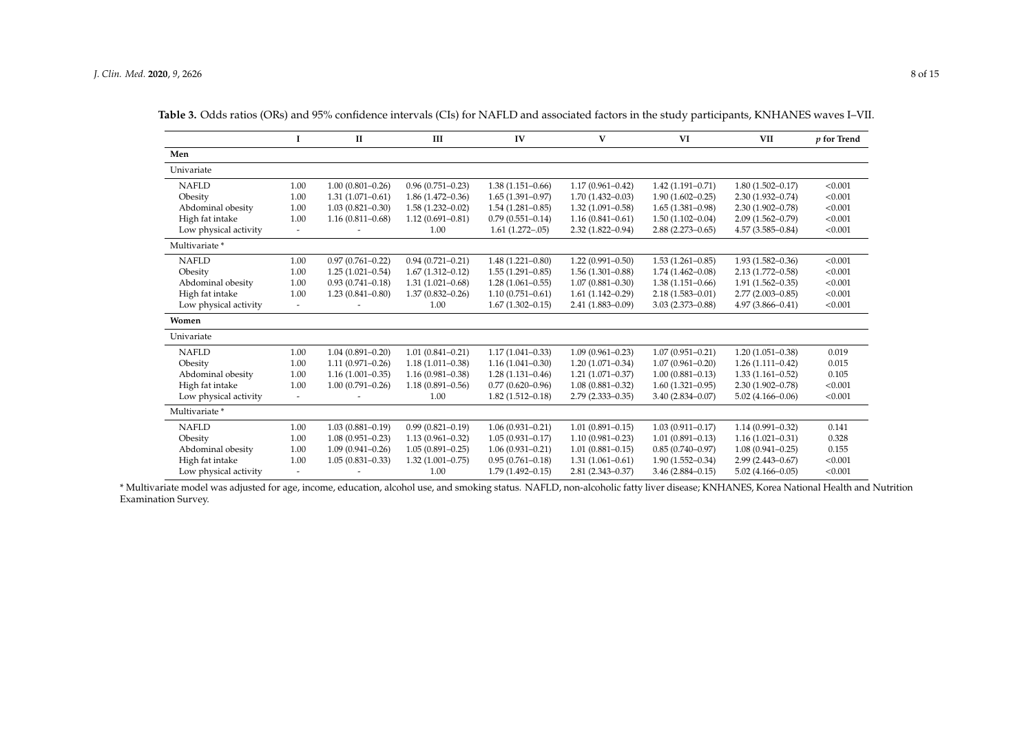|                       | I                        | $\rm II$             | III                  | IV                   | V                    | VI                   | <b>VII</b>           | $p$ for Trend |
|-----------------------|--------------------------|----------------------|----------------------|----------------------|----------------------|----------------------|----------------------|---------------|
| Men                   |                          |                      |                      |                      |                      |                      |                      |               |
| Univariate            |                          |                      |                      |                      |                      |                      |                      |               |
| <b>NAFLD</b>          | 1.00                     | $1.00(0.801 - 0.26)$ | $0.96(0.751 - 0.23)$ | $1.38(1.151 - 0.66)$ | $1.17(0.961 - 0.42)$ | $1.42(1.191 - 0.71)$ | $1.80(1.502 - 0.17)$ | < 0.001       |
| Obesity               | 1.00                     | $1.31(1.071 - 0.61)$ | $1.86(1.472 - 0.36)$ | $1.65(1.391 - 0.97)$ | $1.70(1.432 - 0.03)$ | $1.90(1.602 - 0.25)$ | $2.30(1.932 - 0.74)$ | < 0.001       |
| Abdominal obesity     | 1.00                     | $1.03(0.821 - 0.30)$ | $1.58(1.232 - 0.02)$ | $1.54(1.281 - 0.85)$ | $1.32(1.091 - 0.58)$ | $1.65(1.381 - 0.98)$ | $2.30(1.902 - 0.78)$ | < 0.001       |
| High fat intake       | 1.00                     | $1.16(0.811 - 0.68)$ | $1.12(0.691 - 0.81)$ | $0.79(0.551 - 0.14)$ | $1.16(0.841 - 0.61)$ | $1.50(1.102 - 0.04)$ | $2.09(1.562 - 0.79)$ | < 0.001       |
| Low physical activity | $\overline{\phantom{a}}$ |                      | 1.00                 | $1.61(1.272 - .05)$  | $2.32(1.822 - 0.94)$ | $2.88(2.273 - 0.65)$ | $4.57(3.585 - 0.84)$ | < 0.001       |
| Multivariate *        |                          |                      |                      |                      |                      |                      |                      |               |
| <b>NAFLD</b>          | 1.00                     | $0.97(0.761 - 0.22)$ | $0.94(0.721 - 0.21)$ | $1.48(1.221 - 0.80)$ | $1.22(0.991 - 0.50)$ | $1.53(1.261 - 0.85)$ | $1.93(1.582 - 0.36)$ | < 0.001       |
| Obesity               | 1.00                     | $1.25(1.021 - 0.54)$ | $1.67(1.312 - 0.12)$ | $1.55(1.291 - 0.85)$ | $1.56(1.301 - 0.88)$ | $1.74(1.462 - 0.08)$ | $2.13(1.772 - 0.58)$ | < 0.001       |
| Abdominal obesity     | 1.00                     | $0.93(0.741 - 0.18)$ | $1.31(1.021 - 0.68)$ | $1.28(1.061 - 0.55)$ | $1.07(0.881 - 0.30)$ | $1.38(1.151 - 0.66)$ | $1.91(1.562 - 0.35)$ | < 0.001       |
| High fat intake       | 1.00                     | $1.23(0.841 - 0.80)$ | $1.37(0.832 - 0.26)$ | $1.10(0.751 - 0.61)$ | $1.61(1.142 - 0.29)$ | $2.18(1.583 - 0.01)$ | $2.77(2.003 - 0.85)$ | < 0.001       |
| Low physical activity | $\overline{a}$           |                      | 1.00                 | $1.67(1.302 - 0.15)$ | $2.41(1.883 - 0.09)$ | $3.03(2.373 - 0.88)$ | $4.97(3.866 - 0.41)$ | < 0.001       |
| Women                 |                          |                      |                      |                      |                      |                      |                      |               |
| Univariate            |                          |                      |                      |                      |                      |                      |                      |               |
| <b>NAFLD</b>          | 1.00                     | $1.04(0.891 - 0.20)$ | $1.01(0.841 - 0.21)$ | $1.17(1.041 - 0.33)$ | $1.09(0.961 - 0.23)$ | $1.07(0.951 - 0.21)$ | $1.20(1.051 - 0.38)$ | 0.019         |
| Obesity               | 1.00                     | $1.11(0.971 - 0.26)$ | $1.18(1.011 - 0.38)$ | $1.16(1.041 - 0.30)$ | $1.20(1.071 - 0.34)$ | $1.07(0.961 - 0.20)$ | $1.26(1.111 - 0.42)$ | 0.015         |
| Abdominal obesity     | 1.00                     | $1.16(1.001 - 0.35)$ | $1.16(0.981 - 0.38)$ | $1.28(1.131 - 0.46)$ | $1.21(1.071 - 0.37)$ | $1.00(0.881 - 0.13)$ | $1.33(1.161 - 0.52)$ | 0.105         |
| High fat intake       | 1.00                     | $1.00(0.791 - 0.26)$ | $1.18(0.891 - 0.56)$ | $0.77(0.620 - 0.96)$ | $1.08(0.881 - 0.32)$ | $1.60(1.321 - 0.95)$ | $2.30(1.902 - 0.78)$ | < 0.001       |
| Low physical activity | $\overline{\phantom{a}}$ |                      | 1.00                 | $1.82(1.512 - 0.18)$ | $2.79(2.333 - 0.35)$ | $3.40(2.834 - 0.07)$ | $5.02(4.166 - 0.06)$ | < 0.001       |
| Multivariate *        |                          |                      |                      |                      |                      |                      |                      |               |
| <b>NAFLD</b>          | 1.00                     | $1.03(0.881 - 0.19)$ | $0.99(0.821 - 0.19)$ | $1.06(0.931 - 0.21)$ | $1.01(0.891 - 0.15)$ | $1.03(0.911 - 0.17)$ | $1.14(0.991 - 0.32)$ | 0.141         |
| Obesity               | 1.00                     | $1.08(0.951 - 0.23)$ | $1.13(0.961 - 0.32)$ | $1.05(0.931 - 0.17)$ | $1.10(0.981 - 0.23)$ | $1.01(0.891 - 0.13)$ | $1.16(1.021 - 0.31)$ | 0.328         |
| Abdominal obesity     | 1.00                     | $1.09(0.941 - 0.26)$ | $1.05(0.891 - 0.25)$ | $1.06(0.931 - 0.21)$ | $1.01(0.881 - 0.15)$ | $0.85(0.740 - 0.97)$ | $1.08(0.941 - 0.25)$ | 0.155         |
| High fat intake       | 1.00                     | $1.05(0.831 - 0.33)$ | $1.32(1.001 - 0.75)$ | $0.95(0.761 - 0.18)$ | $1.31(1.061 - 0.61)$ | $1.90(1.552 - 0.34)$ | $2.99(2.443 - 0.67)$ | < 0.001       |
| Low physical activity |                          |                      | 1.00                 | $1.79(1.492 - 0.15)$ | $2.81(2.343 - 0.37)$ | $3.46(2.884 - 0.15)$ | $5.02(4.166 - 0.05)$ | < 0.001       |

**Table 3.** Odds ratios (ORs) and 95% confidence intervals (CIs) for NAFLD and associated factors in the study participants, KNHANES waves I–VII.

<span id="page-7-0"></span>\* Multivariate model was adjusted for age, income, education, alcohol use, and smoking status. NAFLD, non-alcoholic fatty liver disease; KNHANES, Korea National Health and Nutrition Examination Survey.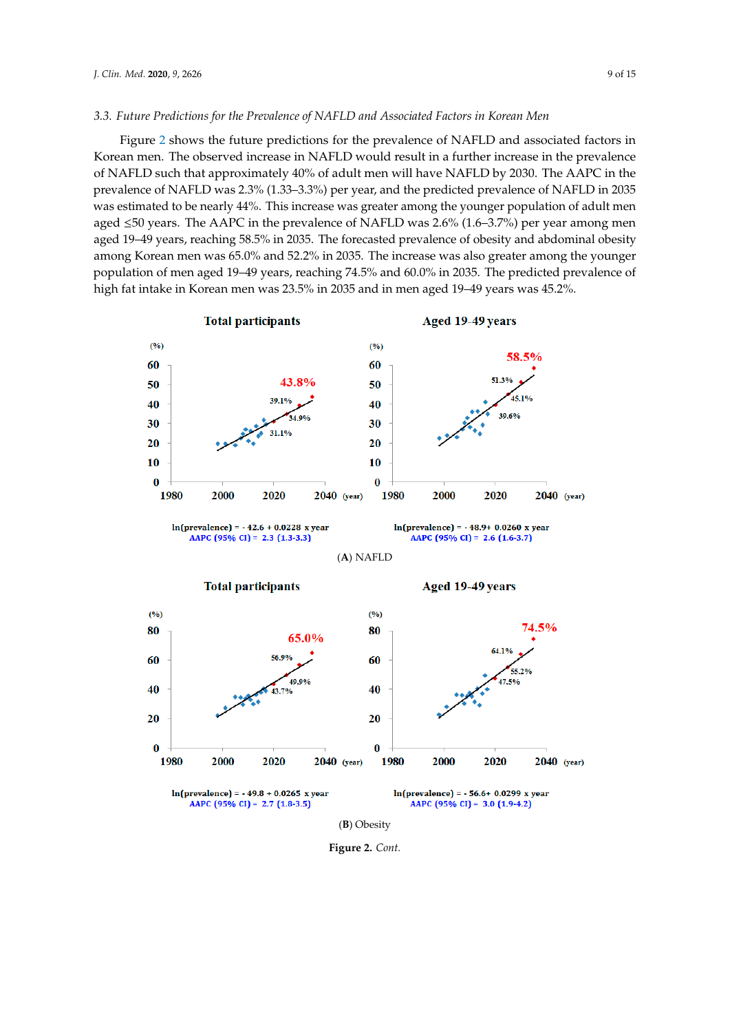#### *3.3. Future Predictions for the Prevalence of NAFLD and Associated Factors in Korean Men*

Figure [2](#page-9-0) shows the future predictions for the prevalence of NAFLD and associated factors in Korean men. The observed increase in NAFLD would result in a further increase in the prevalence of NAFLD such that approximately 40% of adult men will have NAFLD by 2030. The AAPC in the prevalence of NAFLD was 2.3% (1.33–3.3%) per year, and the predicted prevalence of NAFLD in 2035 was estimated to be nearly 44%. This increase was greater among the younger population of adult men aged  $\leq$ 50 years. The AAPC in the prevalence of NAFLD was 2.6% (1.6–3.7%) per year among men aged 19–49 years, reaching 58.5% in 2035. The forecasted prevalence of obesity and abdominal obesity among Korean men was 65.0% and 52.2% in 2035. The increase was also greater among the younger<br>previously interesting the state in the men and in men age of the state in the state in the state in the state in the state in t population of men aged 19–49 years, reaching 74.5% and 60.0% in 2035. The predicted prevalence of high fat intake in Korean men was 23.5% in 2035 and in men aged 19–49 years was 45.2%.



**Figure 2.** *Cont.*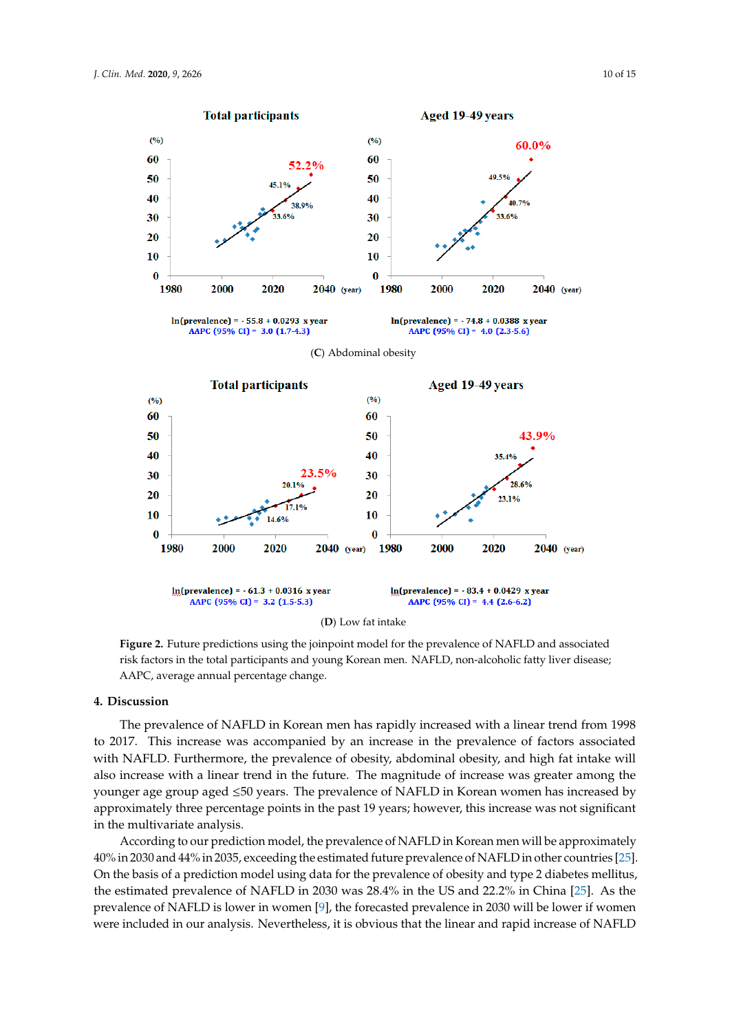<span id="page-9-0"></span>

**Figure 2.** Future predictions using the joinpoint model for the prevalence of NAFLD and associated **Figure 2.** Future predictions using the joinpoint model for the prevalence of NAFLD and associated risk factors in the total participants and young Korean men. NAFLD, non-alcoholic fatty liver disease; risk factors in the total participants and young Korean men. NAFLD, non-alcoholic fatty liver disease; AAPC, average annual percentage change. AAPC, average annual percentage change.

# **4. Discussion 4. Discussion**

The prevalence of NAFLD in Korean men has rapidly increased with a linear trend from 1998 to The prevalence of NAFLD in Korean men has rapidly increased with a linear trend from 1998 to 2017. This increase was accompanied by an increase in the prevalence of factors associated with NAFLD. Furthermore, the prevalence of obesity, abdominal obesity, and high fat intake will also increase with a linear trend in the future. The magnitude of increase was greater among the younger age group aged ≤50 years. The prevalence of NAFLD in Korean women has increased by  $\begin{array}{ccc} 0 & 0 & 1 & 0 \end{array}$ approximately three percentage points in the past 19 years; however, this increase was not significant in the multivariate analysis.

According to our prediction model, the prevalence of NAFLD in Korean men will be approximately 40% in 2030 and 44% in 2035, exceeding the estimated future prevalence of NAFLD in other countries [\[25\]](#page-13-8). On the basis of a prediction model using data for the prevalence of obesity and type 2 diabetes mellitus, the estimated prevalence of NAFLD in 2030 was 28.4% in the US and 22.2% in China [\[25\]](#page-13-8). As the prevalence of NAFLD is lower in women [\[9\]](#page-12-7), the forecasted prevalence in 2030 will be lower if women were included in our analysis. Nevertheless, it is obvious that the linear and rapid increase of NAFLD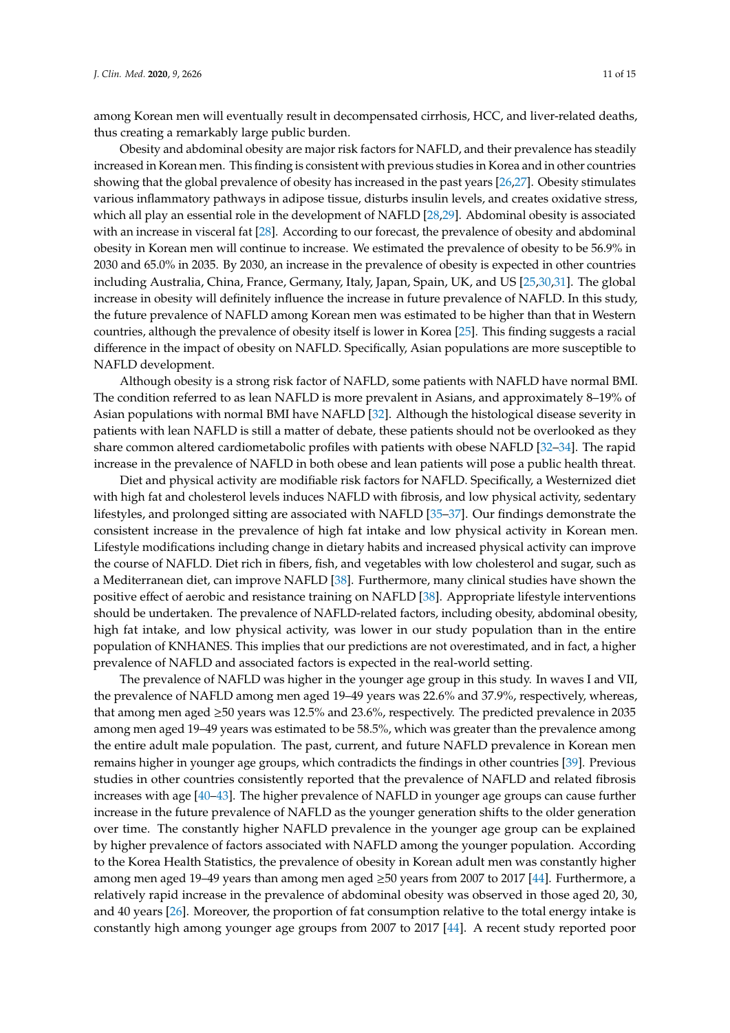among Korean men will eventually result in decompensated cirrhosis, HCC, and liver-related deaths, thus creating a remarkably large public burden.

Obesity and abdominal obesity are major risk factors for NAFLD, and their prevalence has steadily increased in Korean men. This finding is consistent with previous studies in Korea and in other countries showing that the global prevalence of obesity has increased in the past years [\[26](#page-13-9)[,27\]](#page-13-10). Obesity stimulates various inflammatory pathways in adipose tissue, disturbs insulin levels, and creates oxidative stress, which all play an essential role in the development of NAFLD [\[28](#page-13-11)[,29\]](#page-13-12). Abdominal obesity is associated with an increase in visceral fat [\[28\]](#page-13-11). According to our forecast, the prevalence of obesity and abdominal obesity in Korean men will continue to increase. We estimated the prevalence of obesity to be 56.9% in 2030 and 65.0% in 2035. By 2030, an increase in the prevalence of obesity is expected in other countries including Australia, China, France, Germany, Italy, Japan, Spain, UK, and US [\[25,](#page-13-8)[30](#page-13-13)[,31\]](#page-13-14). The global increase in obesity will definitely influence the increase in future prevalence of NAFLD. In this study, the future prevalence of NAFLD among Korean men was estimated to be higher than that in Western countries, although the prevalence of obesity itself is lower in Korea [\[25\]](#page-13-8). This finding suggests a racial difference in the impact of obesity on NAFLD. Specifically, Asian populations are more susceptible to NAFLD development.

Although obesity is a strong risk factor of NAFLD, some patients with NAFLD have normal BMI. The condition referred to as lean NAFLD is more prevalent in Asians, and approximately 8–19% of Asian populations with normal BMI have NAFLD [\[32\]](#page-13-15). Although the histological disease severity in patients with lean NAFLD is still a matter of debate, these patients should not be overlooked as they share common altered cardiometabolic profiles with patients with obese NAFLD [\[32–](#page-13-15)[34\]](#page-13-16). The rapid increase in the prevalence of NAFLD in both obese and lean patients will pose a public health threat.

Diet and physical activity are modifiable risk factors for NAFLD. Specifically, a Westernized diet with high fat and cholesterol levels induces NAFLD with fibrosis, and low physical activity, sedentary lifestyles, and prolonged sitting are associated with NAFLD [\[35](#page-13-17)[–37\]](#page-14-0). Our findings demonstrate the consistent increase in the prevalence of high fat intake and low physical activity in Korean men. Lifestyle modifications including change in dietary habits and increased physical activity can improve the course of NAFLD. Diet rich in fibers, fish, and vegetables with low cholesterol and sugar, such as a Mediterranean diet, can improve NAFLD [\[38\]](#page-14-1). Furthermore, many clinical studies have shown the positive effect of aerobic and resistance training on NAFLD [\[38\]](#page-14-1). Appropriate lifestyle interventions should be undertaken. The prevalence of NAFLD-related factors, including obesity, abdominal obesity, high fat intake, and low physical activity, was lower in our study population than in the entire population of KNHANES. This implies that our predictions are not overestimated, and in fact, a higher prevalence of NAFLD and associated factors is expected in the real-world setting.

The prevalence of NAFLD was higher in the younger age group in this study. In waves I and VII, the prevalence of NAFLD among men aged 19–49 years was 22.6% and 37.9%, respectively, whereas, that among men aged ≥50 years was 12.5% and 23.6%, respectively. The predicted prevalence in 2035 among men aged 19–49 years was estimated to be 58.5%, which was greater than the prevalence among the entire adult male population. The past, current, and future NAFLD prevalence in Korean men remains higher in younger age groups, which contradicts the findings in other countries [\[39\]](#page-14-2). Previous studies in other countries consistently reported that the prevalence of NAFLD and related fibrosis increases with age [\[40–](#page-14-3)[43\]](#page-14-4). The higher prevalence of NAFLD in younger age groups can cause further increase in the future prevalence of NAFLD as the younger generation shifts to the older generation over time. The constantly higher NAFLD prevalence in the younger age group can be explained by higher prevalence of factors associated with NAFLD among the younger population. According to the Korea Health Statistics, the prevalence of obesity in Korean adult men was constantly higher among men aged 19–49 years than among men aged ≥50 years from 2007 to 2017 [\[44\]](#page-14-5). Furthermore, a relatively rapid increase in the prevalence of abdominal obesity was observed in those aged 20, 30, and 40 years [\[26\]](#page-13-9). Moreover, the proportion of fat consumption relative to the total energy intake is constantly high among younger age groups from 2007 to 2017 [\[44\]](#page-14-5). A recent study reported poor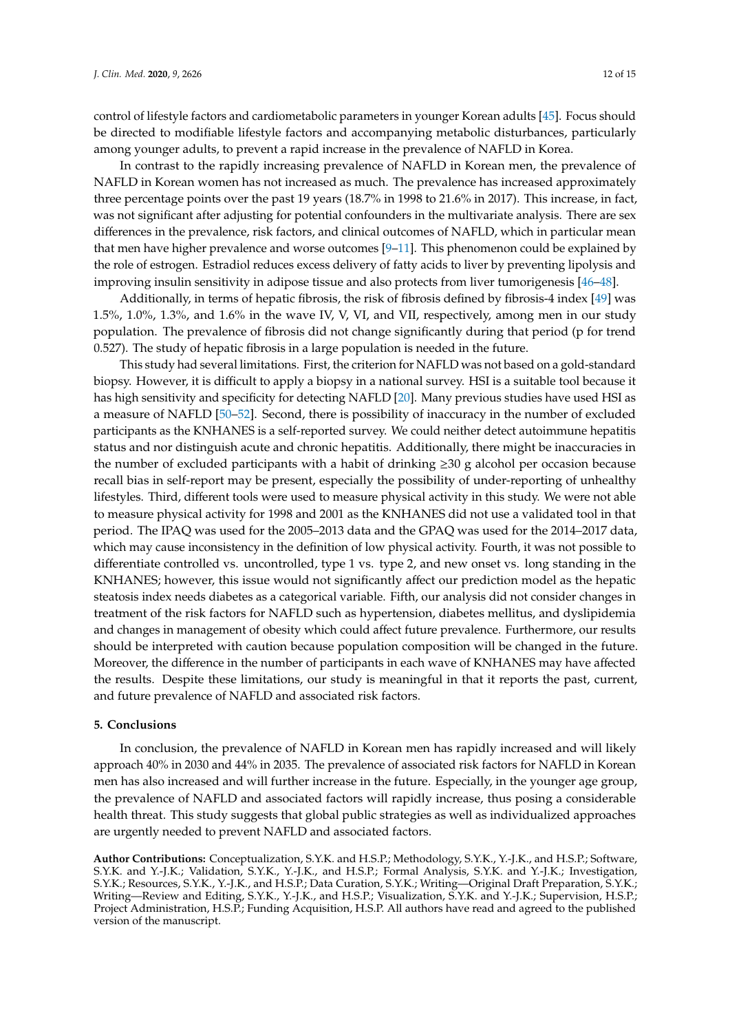control of lifestyle factors and cardiometabolic parameters in younger Korean adults [\[45\]](#page-14-6). Focus should be directed to modifiable lifestyle factors and accompanying metabolic disturbances, particularly among younger adults, to prevent a rapid increase in the prevalence of NAFLD in Korea.

In contrast to the rapidly increasing prevalence of NAFLD in Korean men, the prevalence of NAFLD in Korean women has not increased as much. The prevalence has increased approximately three percentage points over the past 19 years (18.7% in 1998 to 21.6% in 2017). This increase, in fact, was not significant after adjusting for potential confounders in the multivariate analysis. There are sex differences in the prevalence, risk factors, and clinical outcomes of NAFLD, which in particular mean that men have higher prevalence and worse outcomes  $[9-11]$  $[9-11]$ . This phenomenon could be explained by the role of estrogen. Estradiol reduces excess delivery of fatty acids to liver by preventing lipolysis and improving insulin sensitivity in adipose tissue and also protects from liver tumorigenesis [\[46](#page-14-7)[–48\]](#page-14-8).

Additionally, in terms of hepatic fibrosis, the risk of fibrosis defined by fibrosis-4 index [\[49\]](#page-14-9) was 1.5%, 1.0%, 1.3%, and 1.6% in the wave IV, V, VI, and VII, respectively, among men in our study population. The prevalence of fibrosis did not change significantly during that period (p for trend 0.527). The study of hepatic fibrosis in a large population is needed in the future.

This study had several limitations. First, the criterion for NAFLD was not based on a gold-standard biopsy. However, it is difficult to apply a biopsy in a national survey. HSI is a suitable tool because it has high sensitivity and specificity for detecting NAFLD [\[20\]](#page-13-4). Many previous studies have used HSI as a measure of NAFLD [\[50–](#page-14-10)[52\]](#page-14-11). Second, there is possibility of inaccuracy in the number of excluded participants as the KNHANES is a self-reported survey. We could neither detect autoimmune hepatitis status and nor distinguish acute and chronic hepatitis. Additionally, there might be inaccuracies in the number of excluded participants with a habit of drinking  $\geq 30$  g alcohol per occasion because recall bias in self-report may be present, especially the possibility of under-reporting of unhealthy lifestyles. Third, different tools were used to measure physical activity in this study. We were not able to measure physical activity for 1998 and 2001 as the KNHANES did not use a validated tool in that period. The IPAQ was used for the 2005–2013 data and the GPAQ was used for the 2014–2017 data, which may cause inconsistency in the definition of low physical activity. Fourth, it was not possible to differentiate controlled vs. uncontrolled, type 1 vs. type 2, and new onset vs. long standing in the KNHANES; however, this issue would not significantly affect our prediction model as the hepatic steatosis index needs diabetes as a categorical variable. Fifth, our analysis did not consider changes in treatment of the risk factors for NAFLD such as hypertension, diabetes mellitus, and dyslipidemia and changes in management of obesity which could affect future prevalence. Furthermore, our results should be interpreted with caution because population composition will be changed in the future. Moreover, the difference in the number of participants in each wave of KNHANES may have affected the results. Despite these limitations, our study is meaningful in that it reports the past, current, and future prevalence of NAFLD and associated risk factors.

## **5. Conclusions**

In conclusion, the prevalence of NAFLD in Korean men has rapidly increased and will likely approach 40% in 2030 and 44% in 2035. The prevalence of associated risk factors for NAFLD in Korean men has also increased and will further increase in the future. Especially, in the younger age group, the prevalence of NAFLD and associated factors will rapidly increase, thus posing a considerable health threat. This study suggests that global public strategies as well as individualized approaches are urgently needed to prevent NAFLD and associated factors.

**Author Contributions:** Conceptualization, S.Y.K. and H.S.P.; Methodology, S.Y.K., Y.-J.K., and H.S.P.; Software, S.Y.K. and Y.-J.K.; Validation, S.Y.K., Y.-J.K., and H.S.P.; Formal Analysis, S.Y.K. and Y.-J.K.; Investigation, S.Y.K.; Resources, S.Y.K., Y.-J.K., and H.S.P.; Data Curation, S.Y.K.; Writing—Original Draft Preparation, S.Y.K.; Writing—Review and Editing, S.Y.K., Y.-J.K., and H.S.P.; Visualization, S.Y.K. and Y.-J.K.; Supervision, H.S.P.; Project Administration, H.S.P.; Funding Acquisition, H.S.P. All authors have read and agreed to the published version of the manuscript.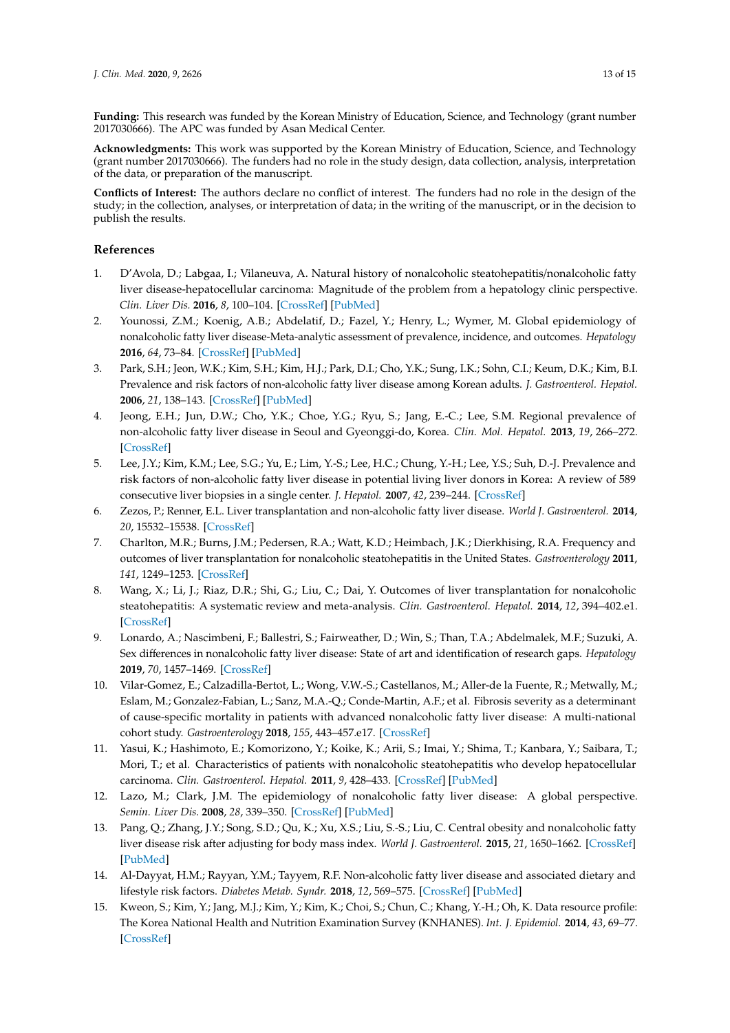**Funding:** This research was funded by the Korean Ministry of Education, Science, and Technology (grant number 2017030666). The APC was funded by Asan Medical Center.

**Acknowledgments:** This work was supported by the Korean Ministry of Education, Science, and Technology (grant number 2017030666). The funders had no role in the study design, data collection, analysis, interpretation of the data, or preparation of the manuscript.

**Conflicts of Interest:** The authors declare no conflict of interest. The funders had no role in the design of the study; in the collection, analyses, or interpretation of data; in the writing of the manuscript, or in the decision to publish the results.

## **References**

- <span id="page-12-0"></span>1. D'Avola, D.; Labgaa, I.; Vilaneuva, A. Natural history of nonalcoholic steatohepatitis/nonalcoholic fatty liver disease-hepatocellular carcinoma: Magnitude of the problem from a hepatology clinic perspective. *Clin. Liver Dis.* **2016**, *8*, 100–104. [\[CrossRef\]](http://dx.doi.org/10.1002/cld.579) [\[PubMed\]](http://www.ncbi.nlm.nih.gov/pubmed/31041073)
- <span id="page-12-1"></span>2. Younossi, Z.M.; Koenig, A.B.; Abdelatif, D.; Fazel, Y.; Henry, L.; Wymer, M. Global epidemiology of nonalcoholic fatty liver disease-Meta-analytic assessment of prevalence, incidence, and outcomes. *Hepatology* **2016**, *64*, 73–84. [\[CrossRef\]](http://dx.doi.org/10.1002/hep.28431) [\[PubMed\]](http://www.ncbi.nlm.nih.gov/pubmed/26707365)
- <span id="page-12-2"></span>3. Park, S.H.; Jeon, W.K.; Kim, S.H.; Kim, H.J.; Park, D.I.; Cho, Y.K.; Sung, I.K.; Sohn, C.I.; Keum, D.K.; Kim, B.I. Prevalence and risk factors of non-alcoholic fatty liver disease among Korean adults. *J. Gastroenterol. Hepatol.* **2006**, *21*, 138–143. [\[CrossRef\]](http://dx.doi.org/10.1111/j.1440-1746.2005.04086.x) [\[PubMed\]](http://www.ncbi.nlm.nih.gov/pubmed/16706825)
- 4. Jeong, E.H.; Jun, D.W.; Cho, Y.K.; Choe, Y.G.; Ryu, S.; Jang, E.-C.; Lee, S.M. Regional prevalence of non-alcoholic fatty liver disease in Seoul and Gyeonggi-do, Korea. *Clin. Mol. Hepatol.* **2013**, *19*, 266–272. [\[CrossRef\]](http://dx.doi.org/10.3350/cmh.2013.19.3.266)
- <span id="page-12-3"></span>5. Lee, J.Y.; Kim, K.M.; Lee, S.G.; Yu, E.; Lim, Y.-S.; Lee, H.C.; Chung, Y.-H.; Lee, Y.S.; Suh, D.-J. Prevalence and risk factors of non-alcoholic fatty liver disease in potential living liver donors in Korea: A review of 589 consecutive liver biopsies in a single center. *J. Hepatol.* **2007**, *42*, 239–244. [\[CrossRef\]](http://dx.doi.org/10.1016/j.jhep.2007.02.007)
- <span id="page-12-4"></span>6. Zezos, P.; Renner, E.L. Liver transplantation and non-alcoholic fatty liver disease. *World J. Gastroenterol.* **2014**, *20*, 15532–15538. [\[CrossRef\]](http://dx.doi.org/10.3748/wjg.v20.i42.15532)
- <span id="page-12-5"></span>7. Charlton, M.R.; Burns, J.M.; Pedersen, R.A.; Watt, K.D.; Heimbach, J.K.; Dierkhising, R.A. Frequency and outcomes of liver transplantation for nonalcoholic steatohepatitis in the United States. *Gastroenterology* **2011**, *141*, 1249–1253. [\[CrossRef\]](http://dx.doi.org/10.1053/j.gastro.2011.06.061)
- <span id="page-12-6"></span>8. Wang, X.; Li, J.; Riaz, D.R.; Shi, G.; Liu, C.; Dai, Y. Outcomes of liver transplantation for nonalcoholic steatohepatitis: A systematic review and meta-analysis. *Clin. Gastroenterol. Hepatol.* **2014**, *12*, 394–402.e1. [\[CrossRef\]](http://dx.doi.org/10.1016/j.cgh.2013.09.023)
- <span id="page-12-7"></span>9. Lonardo, A.; Nascimbeni, F.; Ballestri, S.; Fairweather, D.; Win, S.; Than, T.A.; Abdelmalek, M.F.; Suzuki, A. Sex differences in nonalcoholic fatty liver disease: State of art and identification of research gaps. *Hepatology* **2019**, *70*, 1457–1469. [\[CrossRef\]](http://dx.doi.org/10.1002/hep.30626)
- <span id="page-12-8"></span>10. Vilar-Gomez, E.; Calzadilla-Bertot, L.; Wong, V.W.-S.; Castellanos, M.; Aller-de la Fuente, R.; Metwally, M.; Eslam, M.; Gonzalez-Fabian, L.; Sanz, M.A.-Q.; Conde-Martin, A.F.; et al. Fibrosis severity as a determinant of cause-specific mortality in patients with advanced nonalcoholic fatty liver disease: A multi-national cohort study. *Gastroenterology* **2018**, *155*, 443–457.e17. [\[CrossRef\]](http://dx.doi.org/10.1053/j.gastro.2018.04.034)
- <span id="page-12-9"></span>11. Yasui, K.; Hashimoto, E.; Komorizono, Y.; Koike, K.; Arii, S.; Imai, Y.; Shima, T.; Kanbara, Y.; Saibara, T.; Mori, T.; et al. Characteristics of patients with nonalcoholic steatohepatitis who develop hepatocellular carcinoma. *Clin. Gastroenterol. Hepatol.* **2011**, *9*, 428–433. [\[CrossRef\]](http://dx.doi.org/10.1016/j.cgh.2011.01.023) [\[PubMed\]](http://www.ncbi.nlm.nih.gov/pubmed/21320639)
- <span id="page-12-10"></span>12. Lazo, M.; Clark, J.M. The epidemiology of nonalcoholic fatty liver disease: A global perspective. *Semin. Liver Dis.* **2008**, *28*, 339–350. [\[CrossRef\]](http://dx.doi.org/10.1055/s-0028-1091978) [\[PubMed\]](http://www.ncbi.nlm.nih.gov/pubmed/18956290)
- <span id="page-12-11"></span>13. Pang, Q.; Zhang, J.Y.; Song, S.D.; Qu, K.; Xu, X.S.; Liu, S.-S.; Liu, C. Central obesity and nonalcoholic fatty liver disease risk after adjusting for body mass index. *World J. Gastroenterol.* **2015**, *21*, 1650–1662. [\[CrossRef\]](http://dx.doi.org/10.3748/wjg.v21.i5.1650) [\[PubMed\]](http://www.ncbi.nlm.nih.gov/pubmed/25663786)
- <span id="page-12-12"></span>14. Al-Dayyat, H.M.; Rayyan, Y.M.; Tayyem, R.F. Non-alcoholic fatty liver disease and associated dietary and lifestyle risk factors. *Diabetes Metab. Syndr.* **2018**, *12*, 569–575. [\[CrossRef\]](http://dx.doi.org/10.1016/j.dsx.2018.03.016) [\[PubMed\]](http://www.ncbi.nlm.nih.gov/pubmed/29571977)
- <span id="page-12-13"></span>15. Kweon, S.; Kim, Y.; Jang, M.J.; Kim, Y.; Kim, K.; Choi, S.; Chun, C.; Khang, Y.-H.; Oh, K. Data resource profile: The Korea National Health and Nutrition Examination Survey (KNHANES). *Int. J. Epidemiol.* **2014**, *43*, 69–77. [\[CrossRef\]](http://dx.doi.org/10.1093/ije/dyt228)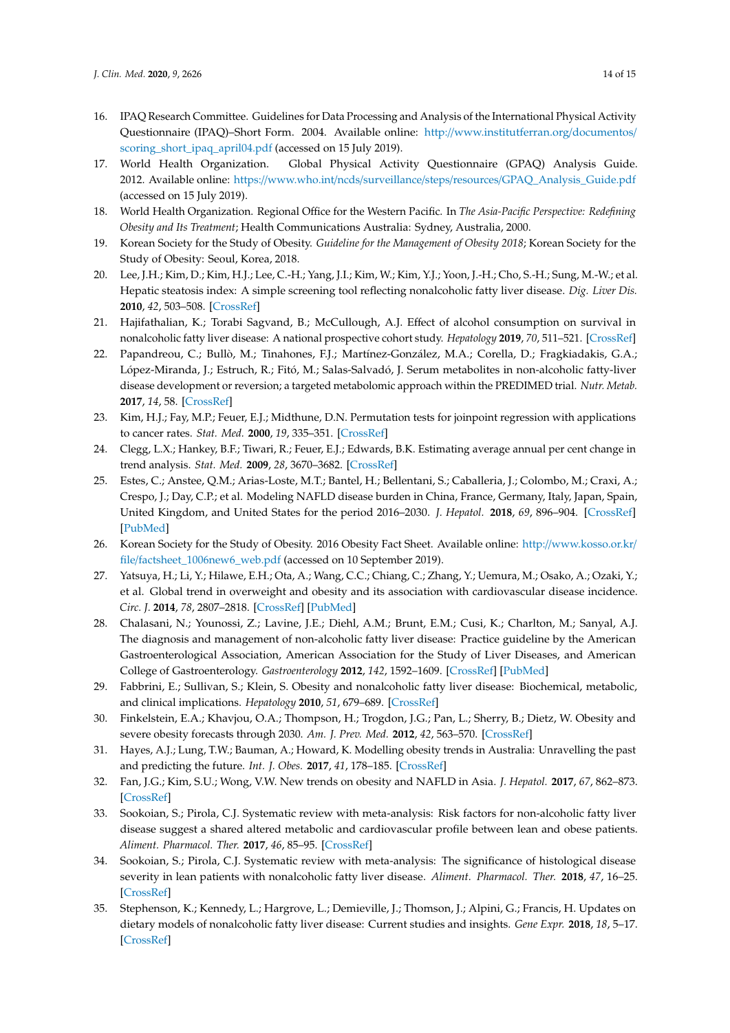- <span id="page-13-0"></span>16. IPAQ Research Committee. Guidelines for Data Processing and Analysis of the International Physical Activity Questionnaire (IPAQ)–Short Form. 2004. Available online: http://[www.institutferran.org](http://www.institutferran.org/documentos/scoring_short_ipaq_april04.pdf)/documentos/ [scoring\\_short\\_ipaq\\_april04.pdf](http://www.institutferran.org/documentos/scoring_short_ipaq_april04.pdf) (accessed on 15 July 2019).
- <span id="page-13-1"></span>17. World Health Organization. Global Physical Activity Questionnaire (GPAQ) Analysis Guide. 2012. Available online: https://www.who.int/ncds/surveillance/steps/resources/[GPAQ\\_Analysis\\_Guide.pdf](https://www.who.int/ncds/surveillance/steps/resources/GPAQ_Analysis_Guide.pdf) (accessed on 15 July 2019).
- <span id="page-13-2"></span>18. World Health Organization. Regional Office for the Western Pacific. In *The Asia-Pacific Perspective: Redefining Obesity and Its Treatment*; Health Communications Australia: Sydney, Australia, 2000.
- <span id="page-13-3"></span>19. Korean Society for the Study of Obesity. *Guideline for the Management of Obesity 2018*; Korean Society for the Study of Obesity: Seoul, Korea, 2018.
- <span id="page-13-4"></span>20. Lee, J.H.; Kim, D.; Kim, H.J.; Lee, C.-H.; Yang, J.I.; Kim, W.; Kim, Y.J.; Yoon, J.-H.; Cho, S.-H.; Sung, M.-W.; et al. Hepatic steatosis index: A simple screening tool reflecting nonalcoholic fatty liver disease. *Dig. Liver Dis.* **2010**, *42*, 503–508. [\[CrossRef\]](http://dx.doi.org/10.1016/j.dld.2009.08.002)
- 21. Hajifathalian, K.; Torabi Sagvand, B.; McCullough, A.J. Effect of alcohol consumption on survival in nonalcoholic fatty liver disease: A national prospective cohort study. *Hepatology* **2019**, *70*, 511–521. [\[CrossRef\]](http://dx.doi.org/10.1002/hep.30226)
- <span id="page-13-5"></span>22. Papandreou, C.; Bullò, M.; Tinahones, F.J.; Martínez-González, M.A.; Corella, D.; Fragkiadakis, G.A.; López-Miranda, J.; Estruch, R.; Fitó, M.; Salas-Salvadó, J. Serum metabolites in non-alcoholic fatty-liver disease development or reversion; a targeted metabolomic approach within the PREDIMED trial. *Nutr. Metab.* **2017**, *14*, 58. [\[CrossRef\]](http://dx.doi.org/10.1186/s12986-017-0213-3)
- <span id="page-13-6"></span>23. Kim, H.J.; Fay, M.P.; Feuer, E.J.; Midthune, D.N. Permutation tests for joinpoint regression with applications to cancer rates. *Stat. Med.* **2000**, *19*, 335–351. [\[CrossRef\]](http://dx.doi.org/10.1002/(SICI)1097-0258(20000215)19:3<335::AID-SIM336>3.0.CO;2-Z)
- <span id="page-13-7"></span>24. Clegg, L.X.; Hankey, B.F.; Tiwari, R.; Feuer, E.J.; Edwards, B.K. Estimating average annual per cent change in trend analysis. *Stat. Med.* **2009**, *28*, 3670–3682. [\[CrossRef\]](http://dx.doi.org/10.1002/sim.3733)
- <span id="page-13-8"></span>25. Estes, C.; Anstee, Q.M.; Arias-Loste, M.T.; Bantel, H.; Bellentani, S.; Caballeria, J.; Colombo, M.; Craxi, A.; Crespo, J.; Day, C.P.; et al. Modeling NAFLD disease burden in China, France, Germany, Italy, Japan, Spain, United Kingdom, and United States for the period 2016–2030. *J. Hepatol.* **2018**, *69*, 896–904. [\[CrossRef\]](http://dx.doi.org/10.1016/j.jhep.2018.05.036) [\[PubMed\]](http://www.ncbi.nlm.nih.gov/pubmed/29886156)
- <span id="page-13-9"></span>26. Korean Society for the Study of Obesity. 2016 Obesity Fact Sheet. Available online: http://[www.kosso.or.kr](http://www.kosso.or.kr/file/factsheet_1006new6_web.pdf)/ file/[factsheet\\_1006new6\\_web.pdf](http://www.kosso.or.kr/file/factsheet_1006new6_web.pdf) (accessed on 10 September 2019).
- <span id="page-13-10"></span>27. Yatsuya, H.; Li, Y.; Hilawe, E.H.; Ota, A.; Wang, C.C.; Chiang, C.; Zhang, Y.; Uemura, M.; Osako, A.; Ozaki, Y.; et al. Global trend in overweight and obesity and its association with cardiovascular disease incidence. *Circ. J.* **2014**, *78*, 2807–2818. [\[CrossRef\]](http://dx.doi.org/10.1253/circj.CJ-14-0850) [\[PubMed\]](http://www.ncbi.nlm.nih.gov/pubmed/25391910)
- <span id="page-13-11"></span>28. Chalasani, N.; Younossi, Z.; Lavine, J.E.; Diehl, A.M.; Brunt, E.M.; Cusi, K.; Charlton, M.; Sanyal, A.J. The diagnosis and management of non-alcoholic fatty liver disease: Practice guideline by the American Gastroenterological Association, American Association for the Study of Liver Diseases, and American College of Gastroenterology. *Gastroenterology* **2012**, *142*, 1592–1609. [\[CrossRef\]](http://dx.doi.org/10.1053/j.gastro.2012.04.001) [\[PubMed\]](http://www.ncbi.nlm.nih.gov/pubmed/22656328)
- <span id="page-13-12"></span>29. Fabbrini, E.; Sullivan, S.; Klein, S. Obesity and nonalcoholic fatty liver disease: Biochemical, metabolic, and clinical implications. *Hepatology* **2010**, *51*, 679–689. [\[CrossRef\]](http://dx.doi.org/10.1002/hep.23280)
- <span id="page-13-13"></span>30. Finkelstein, E.A.; Khavjou, O.A.; Thompson, H.; Trogdon, J.G.; Pan, L.; Sherry, B.; Dietz, W. Obesity and severe obesity forecasts through 2030. *Am. J. Prev. Med.* **2012**, *42*, 563–570. [\[CrossRef\]](http://dx.doi.org/10.1016/j.amepre.2011.10.026)
- <span id="page-13-14"></span>31. Hayes, A.J.; Lung, T.W.; Bauman, A.; Howard, K. Modelling obesity trends in Australia: Unravelling the past and predicting the future. *Int. J. Obes.* **2017**, *41*, 178–185. [\[CrossRef\]](http://dx.doi.org/10.1038/ijo.2016.165)
- <span id="page-13-15"></span>32. Fan, J.G.; Kim, S.U.; Wong, V.W. New trends on obesity and NAFLD in Asia. *J. Hepatol.* **2017**, *67*, 862–873. [\[CrossRef\]](http://dx.doi.org/10.1016/j.jhep.2017.06.003)
- 33. Sookoian, S.; Pirola, C.J. Systematic review with meta-analysis: Risk factors for non-alcoholic fatty liver disease suggest a shared altered metabolic and cardiovascular profile between lean and obese patients. *Aliment. Pharmacol. Ther.* **2017**, *46*, 85–95. [\[CrossRef\]](http://dx.doi.org/10.1111/apt.14112)
- <span id="page-13-16"></span>34. Sookoian, S.; Pirola, C.J. Systematic review with meta-analysis: The significance of histological disease severity in lean patients with nonalcoholic fatty liver disease. *Aliment. Pharmacol. Ther.* **2018**, *47*, 16–25. [\[CrossRef\]](http://dx.doi.org/10.1111/apt.14401)
- <span id="page-13-17"></span>35. Stephenson, K.; Kennedy, L.; Hargrove, L.; Demieville, J.; Thomson, J.; Alpini, G.; Francis, H. Updates on dietary models of nonalcoholic fatty liver disease: Current studies and insights. *Gene Expr.* **2018**, *18*, 5–17. [\[CrossRef\]](http://dx.doi.org/10.3727/105221617X15093707969658)